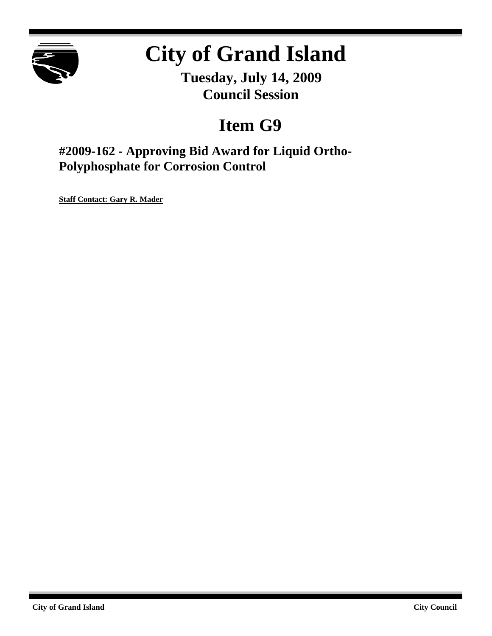

# **City of Grand Island**

**Tuesday, July 14, 2009 Council Session**

# **Item G9**

**#2009-162 - Approving Bid Award for Liquid Ortho-Polyphosphate for Corrosion Control**

**Staff Contact: Gary R. Mader**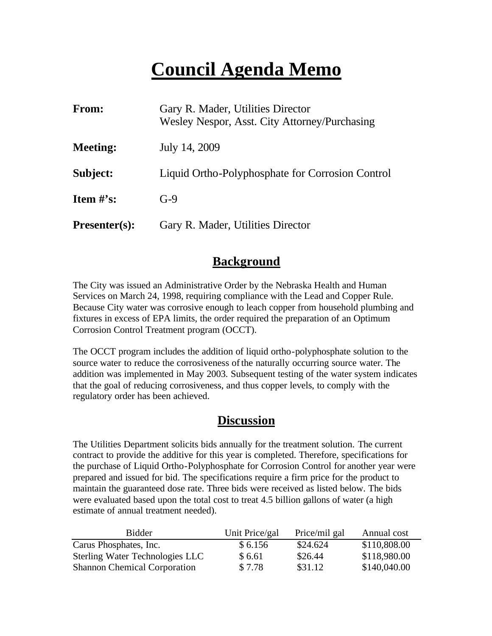# **Council Agenda Memo**

| From:                          | Gary R. Mader, Utilities Director<br>Wesley Nespor, Asst. City Attorney/Purchasing |
|--------------------------------|------------------------------------------------------------------------------------|
| <b>Meeting:</b>                | July 14, 2009                                                                      |
| Subject:                       | Liquid Ortho-Polyphosphate for Corrosion Control                                   |
| <b>Item <math>\#</math>'s:</b> | $G-9$                                                                              |
| <b>Presenter(s):</b>           | Gary R. Mader, Utilities Director                                                  |

# **Background**

The City was issued an Administrative Order by the Nebraska Health and Human Services on March 24, 1998, requiring compliance with the Lead and Copper Rule. Because City water was corrosive enough to leach copper from household plumbing and fixtures in excess of EPA limits, the order required the preparation of an Optimum Corrosion Control Treatment program (OCCT).

The OCCT program includes the addition of liquid ortho-polyphosphate solution to the source water to reduce the corrosiveness of the naturally occurring source water. The addition was implemented in May 2003. Subsequent testing of the water system indicates that the goal of reducing corrosiveness, and thus copper levels, to comply with the regulatory order has been achieved.

# **Discussion**

The Utilities Department solicits bids annually for the treatment solution. The current contract to provide the additive for this year is completed. Therefore, specifications for the purchase of Liquid Ortho-Polyphosphate for Corrosion Control for another year were prepared and issued for bid. The specifications require a firm price for the product to maintain the guaranteed dose rate. Three bids were received as listed below. The bids were evaluated based upon the total cost to treat 4.5 billion gallons of water (a high estimate of annual treatment needed).

| <b>Bidder</b>                          | Unit Price/gal | Price/mil gal | Annual cost  |
|----------------------------------------|----------------|---------------|--------------|
| Carus Phosphates, Inc.                 | \$6.156        | \$24.624      | \$110,808.00 |
| <b>Sterling Water Technologies LLC</b> | \$6.61         | \$26.44       | \$118,980.00 |
| <b>Shannon Chemical Corporation</b>    | \$7.78         | \$31.12       | \$140,040.00 |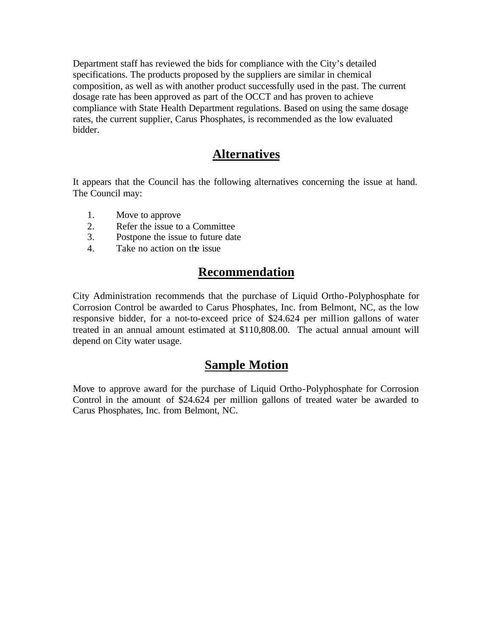Department staff has reviewed the bids for compliance with the City's detailed specifications. The products proposed by the suppliers are similar in chemical composition, as well as with another product successfully used in the past. The current dosage rate has been approved as part of the OCCT and has proven to achieve compliance with State Health Department regulations. Based on using the same dosage rates, the current supplier, Carus Phosphates, is recommended as the low evaluated bidder.

### **Alternatives**

It appears that the Council has the following alternatives concerning the issue at hand. The Council may:

- 1. Move to approve
- 2. Refer the issue to a Committee
- 3. Postpone the issue to future date
- 4. Take no action on the issue

# **Recommendation**

City Administration recommends that the purchase of Liquid Ortho-Polyphosphate for Corrosion Control be awarded to Carus Phosphates, Inc. from Belmont, NC, as the low responsive bidder, for a not-to-exceed price of \$24.624 per million gallons of water treated in an annual amount estimated at \$110,808.00. The actual annual amount will depend on City water usage.

#### **Sample Motion**

Move to approve award for the purchase of Liquid Ortho-Polyphosphate for Corrosion Control in the amount of \$24.624 per million gallons of treated water be awarded to Carus Phosphates, Inc. from Belmont, NC.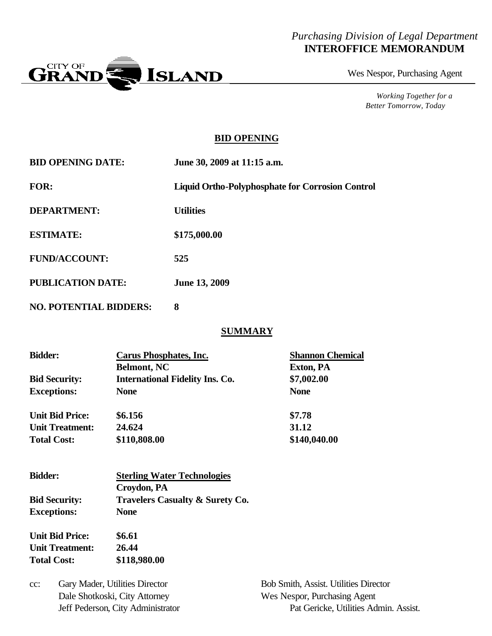#### *Purchasing Division of Legal Department* **INTEROFFICE MEMORANDUM**



Wes Nespor, Purchasing Agent

*Working Together for a Better Tomorrow, Today*

#### **BID OPENING**

| <b>BID OPENING DATE:</b>      | June 30, 2009 at 11:15 a.m.                             |
|-------------------------------|---------------------------------------------------------|
| FOR:                          | <b>Liquid Ortho-Polyphosphate for Corrosion Control</b> |
| <b>DEPARTMENT:</b>            | <b>Utilities</b>                                        |
| <b>ESTIMATE:</b>              | \$175,000.00                                            |
| <b>FUND/ACCOUNT:</b>          | 525                                                     |
| <b>PUBLICATION DATE:</b>      | <b>June 13, 2009</b>                                    |
| <b>NO. POTENTIAL BIDDERS:</b> | 8                                                       |

#### **SUMMARY**

| <b>Bidder:</b>         | <b>Carus Phosphates, Inc.</b>          | <b>Shannon Chemical</b> |
|------------------------|----------------------------------------|-------------------------|
|                        | <b>Belmont, NC</b>                     | Exton, PA               |
| <b>Bid Security:</b>   | <b>International Fidelity Ins. Co.</b> | \$7,002.00              |
| <b>Exceptions:</b>     | <b>None</b>                            | <b>None</b>             |
| <b>Unit Bid Price:</b> | \$6.156                                | \$7.78                  |
| <b>Unit Treatment:</b> | 24.624                                 | 31.12                   |
| <b>Total Cost:</b>     | \$110,808.00                           | \$140,040.00            |

| <b>Bidder:</b>         | <b>Sterling Water Technologies</b>         |  |  |
|------------------------|--------------------------------------------|--|--|
|                        | Croydon, PA                                |  |  |
| <b>Bid Security:</b>   | <b>Travelers Casualty &amp; Surety Co.</b> |  |  |
| <b>Exceptions:</b>     | <b>None</b>                                |  |  |
| <b>Unit Bid Price:</b> | \$6.61                                     |  |  |
| <b>Unit Treatment:</b> | 26.44                                      |  |  |
| <b>Total Cost:</b>     | \$118,980.00                               |  |  |

cc: Gary Mader, Utilities Director Bob Smith, Assist. Utilities Director Dale Shotkoski, City Attorney Wes Nespor, Purchasing Agent

Jeff Pederson, City Administrator Pat Gericke, Utilities Admin. Assist.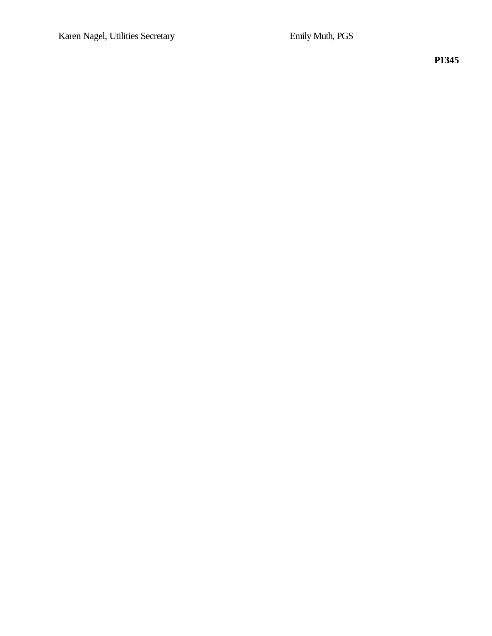**P1345**